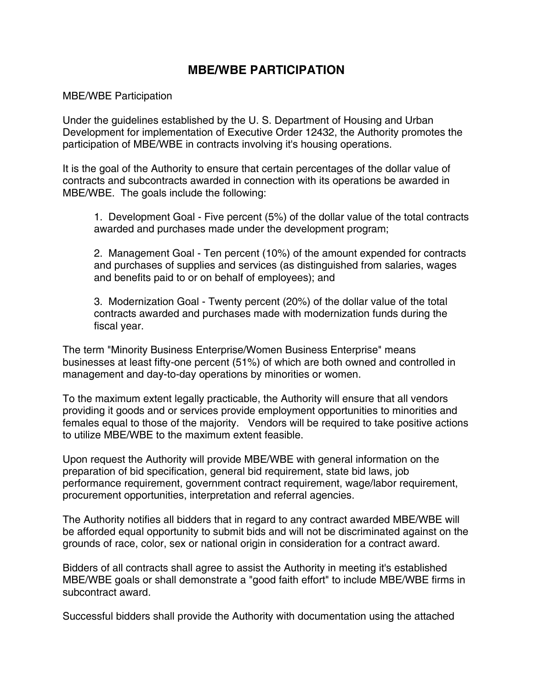## **MBE/WBE PARTICIPATION**

## MBE/WBE Participation

Under the guidelines established by the U. S. Department of Housing and Urban Development for implementation of Executive Order 12432, the Authority promotes the participation of MBE/WBE in contracts involving it's housing operations.

It is the goal of the Authority to ensure that certain percentages of the dollar value of contracts and subcontracts awarded in connection with its operations be awarded in MBE/WBE. The goals include the following:

1. Development Goal - Five percent (5%) of the dollar value of the total contracts awarded and purchases made under the development program;

2. Management Goal - Ten percent (10%) of the amount expended for contracts and purchases of supplies and services (as distinguished from salaries, wages and benefits paid to or on behalf of employees); and

3. Modernization Goal - Twenty percent (20%) of the dollar value of the total contracts awarded and purchases made with modernization funds during the fiscal year.

The term "Minority Business Enterprise/Women Business Enterprise" means businesses at least fifty-one percent (51%) of which are both owned and controlled in management and day-to-day operations by minorities or women.

To the maximum extent legally practicable, the Authority will ensure that all vendors providing it goods and or services provide employment opportunities to minorities and females equal to those of the majority. Vendors will be required to take positive actions to utilize MBE/WBE to the maximum extent feasible.

Upon request the Authority will provide MBE/WBE with general information on the preparation of bid specification, general bid requirement, state bid laws, job performance requirement, government contract requirement, wage/labor requirement, procurement opportunities, interpretation and referral agencies.

The Authority notifies all bidders that in regard to any contract awarded MBE/WBE will be afforded equal opportunity to submit bids and will not be discriminated against on the grounds of race, color, sex or national origin in consideration for a contract award.

Bidders of all contracts shall agree to assist the Authority in meeting it's established MBE/WBE goals or shall demonstrate a "good faith effort" to include MBE/WBE firms in subcontract award.

Successful bidders shall provide the Authority with documentation using the attached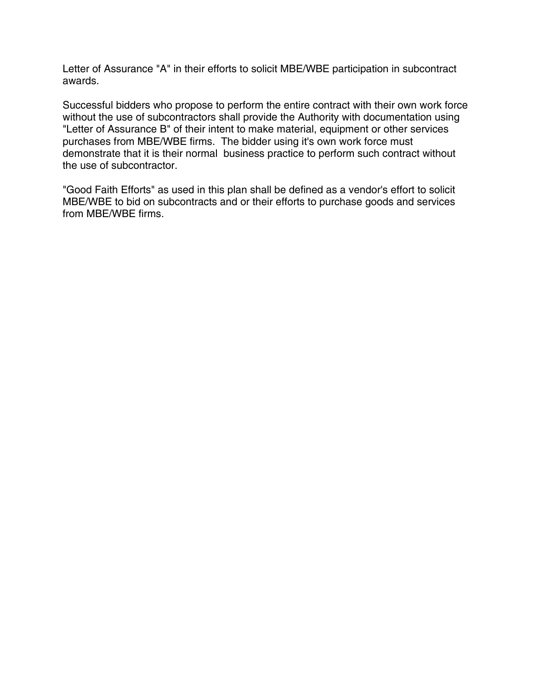Letter of Assurance "A" in their efforts to solicit MBE/WBE participation in subcontract awards.

Successful bidders who propose to perform the entire contract with their own work force without the use of subcontractors shall provide the Authority with documentation using "Letter of Assurance B" of their intent to make material, equipment or other services purchases from MBE/WBE firms. The bidder using it's own work force must demonstrate that it is their normal business practice to perform such contract without the use of subcontractor.

"Good Faith Efforts" as used in this plan shall be defined as a vendor's effort to solicit MBE/WBE to bid on subcontracts and or their efforts to purchase goods and services from MBE/WBE firms.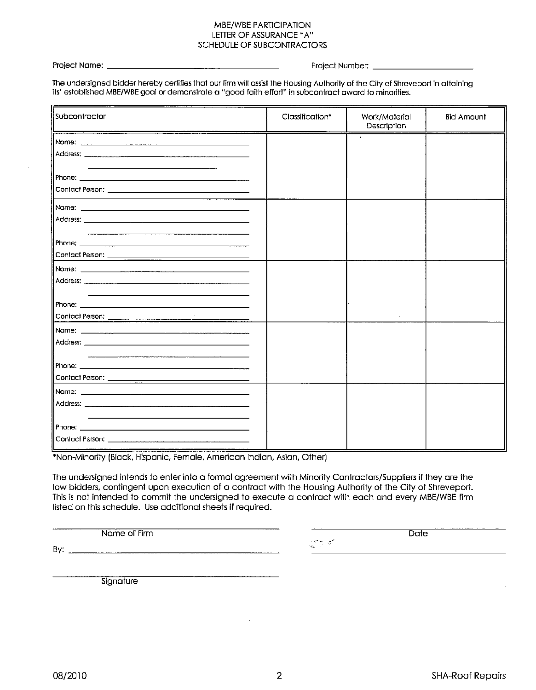## MBE/WBE PARTICIPATION LETTER OF ASSURANCE "A" **SCHEDULE OF SUBCONTRACTORS**

Project Name: \_

Project Number:

The undersigned bidder hereby certifies that our firm will assist the Housing Authority of the City of Shreveport in attaining its' established MBE/WBE goal or demonstrate a "good faith effort" in subcontract award to minorities.

| Subcontractor<br>and the contract of the contract of the contract of the contract of the contract of the contract of the contract of | Classification* | Work/Material<br>Description | <b>Bid Amount</b> |
|--------------------------------------------------------------------------------------------------------------------------------------|-----------------|------------------------------|-------------------|
|                                                                                                                                      |                 |                              |                   |
|                                                                                                                                      |                 |                              |                   |
| Phone: 2008 2009 2010 2010 2010 2011 2012 2013 2014 2015 2016 2017 2018 2019 2019 2019 2019 2019 2019 2019 20                        |                 |                              |                   |
|                                                                                                                                      |                 |                              |                   |
|                                                                                                                                      |                 |                              |                   |
|                                                                                                                                      |                 |                              |                   |
|                                                                                                                                      |                 |                              |                   |
|                                                                                                                                      |                 |                              |                   |
|                                                                                                                                      |                 |                              |                   |
|                                                                                                                                      |                 |                              |                   |
| the control of the control of the control of the control of the control of the control of                                            |                 |                              |                   |
|                                                                                                                                      |                 |                              |                   |
|                                                                                                                                      |                 |                              |                   |
|                                                                                                                                      |                 |                              |                   |
|                                                                                                                                      |                 |                              |                   |
|                                                                                                                                      |                 |                              |                   |
|                                                                                                                                      |                 |                              |                   |
|                                                                                                                                      |                 |                              |                   |
|                                                                                                                                      |                 |                              |                   |
|                                                                                                                                      |                 |                              |                   |

\*Non-Minority (Black, Hispanic, Female, American Indian, Asian, Other)

The undersigned intends to enter into a formal agreement with Minority Contractors/Suppliers if they are the low bidders, contingent upon execution of a contract with the Housing Authority of the City of Shreveport. This is not intended to commit the undersigned to execute a contract with each and every MBE/WBE firm listed on this schedule. Use additional sheets if required.

Name of Firm

n an

Date

By:  $\frac{1}{2}$ 

Signature